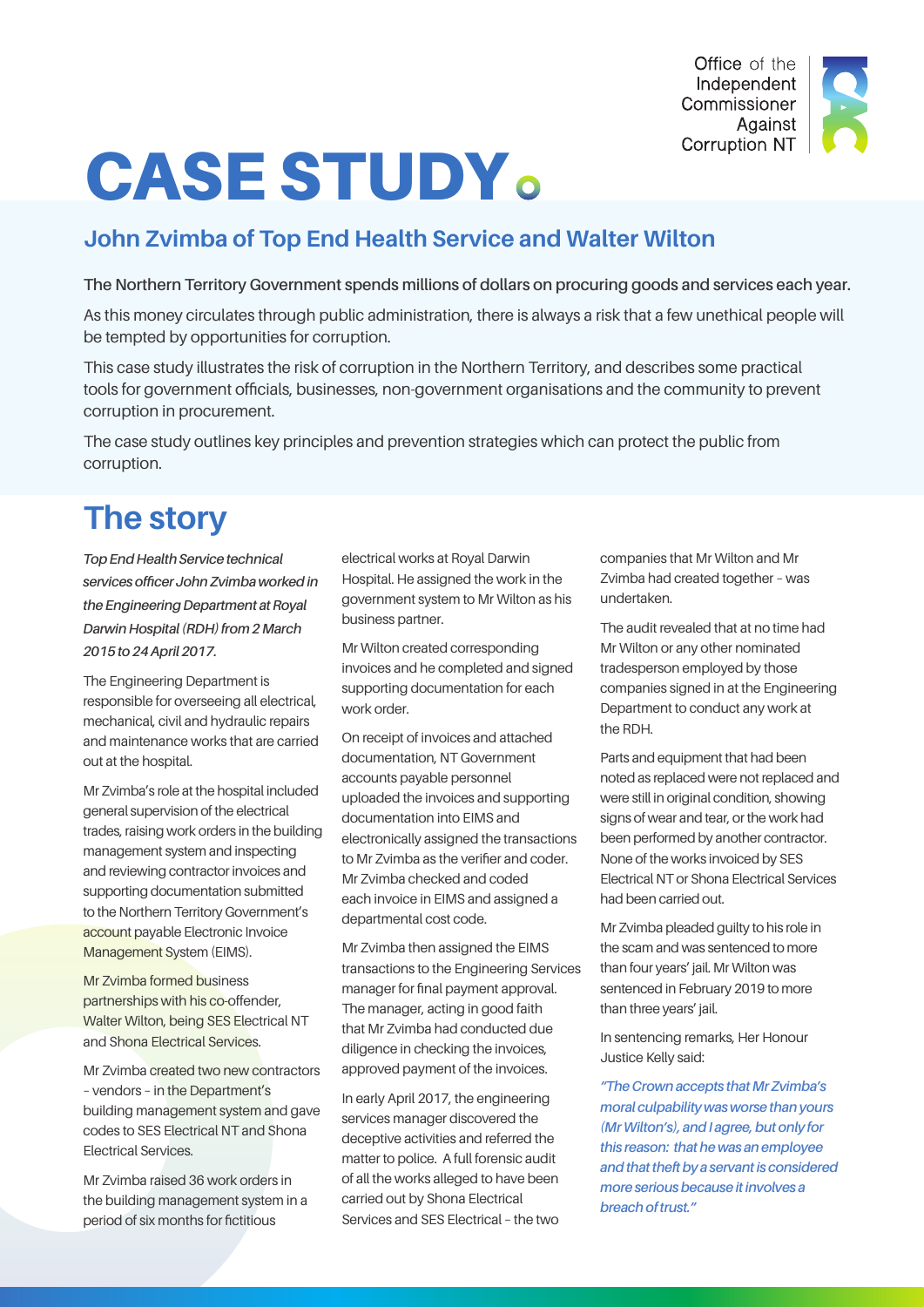

# CASE STUDY

#### **John Zvimba of Top End Health Service and Walter Wilton**

#### **The Northern Territory Government spends millions of dollars on procuring goods and services each year.**

As this money circulates through public administration, there is always a risk that a few unethical people will be tempted by opportunities for corruption.

This case study illustrates the risk of corruption in the Northern Territory, and describes some practical tools for government officials, businesses, non-government organisations and the community to prevent corruption in procurement.

The case study outlines key principles and prevention strategies which can protect the public from corruption.

## **The story**

*Top End Health Service technical services officer John Zvimba worked in the Engineering Department at Royal Darwin Hospital (RDH) from 2 March 2015 to 24 April 2017.* 

The Engineering Department is responsible for overseeing all electrical, mechanical, civil and hydraulic repairs and maintenance works that are carried out at the hospital.

Mr Zvimba's role at the hospital included general supervision of the electrical trades, raising work orders in the building management system and inspecting and reviewing contractor invoices and supporting documentation submitted to the Northern Territory Government's account payable Electronic Invoice Management System (EIMS).

Mr Zvimba formed business partnerships with his co-offender, Walter Wilton, being SES Electrical NT and Shona Electrical Services.

Mr Zvimba created two new contractors – vendors – in the Department's building management system and gave codes to SES Electrical NT and Shona Electrical Services.

Mr Zvimba raised 36 work orders in the building management system in a period of six months for fictitious

electrical works at Royal Darwin Hospital. He assigned the work in the government system to Mr Wilton as his business partner.

Mr Wilton created corresponding invoices and he completed and signed supporting documentation for each work order.

On receipt of invoices and attached documentation, NT Government accounts payable personnel uploaded the invoices and supporting documentation into EIMS and electronically assigned the transactions to Mr Zvimba as the verifier and coder. Mr Zvimba checked and coded each invoice in EIMS and assigned a departmental cost code.

Mr Zvimba then assigned the EIMS transactions to the Engineering Services manager for final payment approval. The manager, acting in good faith that Mr Zvimba had conducted due diligence in checking the invoices, approved payment of the invoices.

In early April 2017, the engineering services manager discovered the deceptive activities and referred the matter to police. A full forensic audit of all the works alleged to have been carried out by Shona Electrical Services and SES Electrical – the two

companies that Mr Wilton and Mr Zvimba had created together – was undertaken.

The audit revealed that at no time had Mr Wilton or any other nominated tradesperson employed by those companies signed in at the Engineering Department to conduct any work at the RDH.

Parts and equipment that had been noted as replaced were not replaced and were still in original condition, showing signs of wear and tear, or the work had been performed by another contractor. None of the works invoiced by SES Electrical NT or Shona Electrical Services had been carried out.

Mr Zvimba pleaded guilty to his role in the scam and was sentenced to more than four years' jail. Mr Wilton was sentenced in February 2019 to more than three years' jail.

In sentencing remarks, Her Honour Justice Kelly said:

*"The Crown accepts that Mr Zvimba's moral culpability was worse than yours (Mr Wilton's), and I agree, but only for this reason: that he was an employee and that theft by a servant is considered more serious because it involves a breach of trust."*